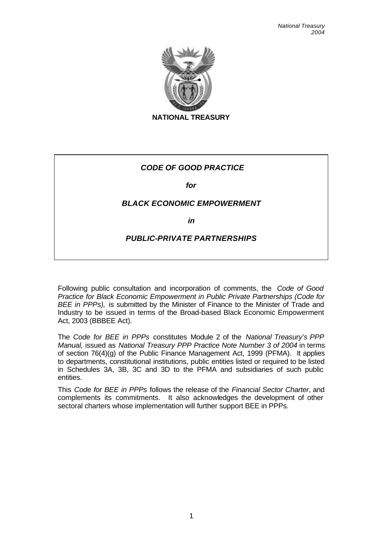

**NATIONAL TREASURY**

# *CODE OF GOOD PRACTICE*

*for*

## *BLACK ECONOMIC EMPOWERMENT*

*in* 

## *PUBLIC-PRIVATE PARTNERSHIPS*

Following public consultation and incorporation of comments, the *Code of Good Practice for Black Economic Empowerment in Public Private Partnerships (Code for BEE in PPPs),* is submitted by the Minister of Finance to the Minister of Trade and Industry to be issued in terms of the Broad-based Black Economic Empowerment Act, 2003 (BBBEE Act).

The *Code for BEE in PPPs* constitutes Module 2 of the *National Treasury's PPP Manual,* issued as *National Treasury PPP Practice Note Number 3 of 2004* in terms of section 76(4)(g) of the Public Finance Management Act, 1999 (PFMA)*.* It applies to departments, constitutional institutions, public entities listed or required to be listed in Schedules 3A, 3B, 3C and 3D to the PFMA and subsidiaries of such public entities.

This *Code for BEE in PPPs* follows the release of the *Financial Sector Charter*, and complements its commitments. It also acknowledges the development of other sectoral charters whose implementation will further support BEE in PPPs.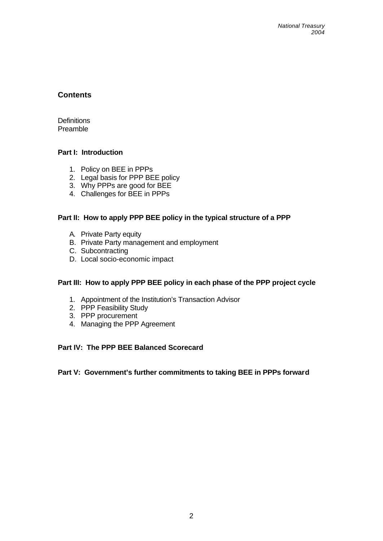## **Contents**

**Definitions** Preamble

### **Part I: Introduction**

- 1. Policy on BEE in PPPs
- 2. Legal basis for PPP BEE policy
- 3. Why PPPs are good for BEE
- 4. Challenges for BEE in PPPs

### **Part II: How to apply PPP BEE policy in the typical structure of a PPP**

- A. Private Party equity
- B. Private Party management and employment
- C. Subcontracting
- D. Local socio-economic impact

#### **Part III: How to apply PPP BEE policy in each phase of the PPP project cycle**

- 1. Appointment of the Institution's Transaction Advisor
- 2. PPP Feasibility Study
- 3. PPP procurement
- 4. Managing the PPP Agreement

#### **Part IV: The PPP BEE Balanced Scorecard**

#### **Part V: Government's further commitments to taking BEE in PPPs forward**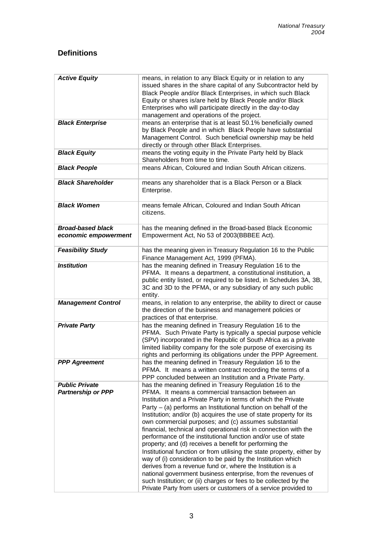# **Definitions**

| <b>Active Equity</b>                               | means, in relation to any Black Equity or in relation to any<br>issued shares in the share capital of any Subcontractor held by<br>Black People and/or Black Enterprises, in which such Black<br>Equity or shares is/are held by Black People and/or Black<br>Enterprises who will participate directly in the day-to-day<br>management and operations of the project.                                                                                                                                                                                                                                                                                                                                                                                                                                                                                                                                                                                                                            |
|----------------------------------------------------|---------------------------------------------------------------------------------------------------------------------------------------------------------------------------------------------------------------------------------------------------------------------------------------------------------------------------------------------------------------------------------------------------------------------------------------------------------------------------------------------------------------------------------------------------------------------------------------------------------------------------------------------------------------------------------------------------------------------------------------------------------------------------------------------------------------------------------------------------------------------------------------------------------------------------------------------------------------------------------------------------|
| <b>Black Enterprise</b>                            | means an enterprise that is at least 50.1% beneficially owned<br>by Black People and in which Black People have substantial<br>Management Control. Such beneficial ownership may be held<br>directly or through other Black Enterprises.                                                                                                                                                                                                                                                                                                                                                                                                                                                                                                                                                                                                                                                                                                                                                          |
| <b>Black Equity</b>                                | means the voting equity in the Private Party held by Black<br>Shareholders from time to time.                                                                                                                                                                                                                                                                                                                                                                                                                                                                                                                                                                                                                                                                                                                                                                                                                                                                                                     |
| <b>Black People</b>                                | means African, Coloured and Indian South African citizens.                                                                                                                                                                                                                                                                                                                                                                                                                                                                                                                                                                                                                                                                                                                                                                                                                                                                                                                                        |
| <b>Black Shareholder</b>                           | means any shareholder that is a Black Person or a Black<br>Enterprise.                                                                                                                                                                                                                                                                                                                                                                                                                                                                                                                                                                                                                                                                                                                                                                                                                                                                                                                            |
| <b>Black Women</b>                                 | means female African, Coloured and Indian South African<br>citizens.                                                                                                                                                                                                                                                                                                                                                                                                                                                                                                                                                                                                                                                                                                                                                                                                                                                                                                                              |
| <b>Broad-based black</b><br>economic empowerment   | has the meaning defined in the Broad-based Black Economic<br>Empowerment Act, No 53 of 2003(BBBEE Act).                                                                                                                                                                                                                                                                                                                                                                                                                                                                                                                                                                                                                                                                                                                                                                                                                                                                                           |
| <b>Feasibility Study</b>                           | has the meaning given in Treasury Regulation 16 to the Public<br>Finance Management Act, 1999 (PFMA).                                                                                                                                                                                                                                                                                                                                                                                                                                                                                                                                                                                                                                                                                                                                                                                                                                                                                             |
| <b>Institution</b>                                 | has the meaning defined in Treasury Regulation 16 to the<br>PFMA. It means a department, a constitutional institution, a<br>public entity listed, or required to be listed, in Schedules 3A, 3B,<br>3C and 3D to the PFMA, or any subsidiary of any such public<br>entity.                                                                                                                                                                                                                                                                                                                                                                                                                                                                                                                                                                                                                                                                                                                        |
| <b>Management Control</b>                          | means, in relation to any enterprise, the ability to direct or cause<br>the direction of the business and management policies or<br>practices of that enterprise.                                                                                                                                                                                                                                                                                                                                                                                                                                                                                                                                                                                                                                                                                                                                                                                                                                 |
| <b>Private Party</b>                               | has the meaning defined in Treasury Regulation 16 to the<br>PFMA. Such Private Party is typically a special purpose vehicle<br>(SPV) incorporated in the Republic of South Africa as a private<br>limited liability company for the sole purpose of exercising its<br>rights and performing its obligations under the PPP Agreement.                                                                                                                                                                                                                                                                                                                                                                                                                                                                                                                                                                                                                                                              |
| <b>PPP Agreement</b>                               | has the meaning defined in Treasury Regulation 16 to the<br>PFMA. It means a written contract recording the terms of a<br>PPP concluded between an Institution and a Private Party.                                                                                                                                                                                                                                                                                                                                                                                                                                                                                                                                                                                                                                                                                                                                                                                                               |
| <b>Public Private</b><br><b>Partnership or PPP</b> | has the meaning defined in Treasury Regulation 16 to the<br>PFMA. It means a commercial transaction between an<br>Institution and a Private Party in terms of which the Private<br>Party $-$ (a) performs an Institutional function on behalf of the<br>Institution; and/or (b) acquires the use of state property for its<br>own commercial purposes; and (c) assumes substantial<br>financial, technical and operational risk in connection with the<br>performance of the institutional function and/or use of state<br>property; and (d) receives a benefit for performing the<br>Institutional function or from utilising the state property, either by<br>way of (i) consideration to be paid by the Institution which<br>derives from a revenue fund or, where the Institution is a<br>national government business enterprise, from the revenues of<br>such Institution; or (ii) charges or fees to be collected by the<br>Private Party from users or customers of a service provided to |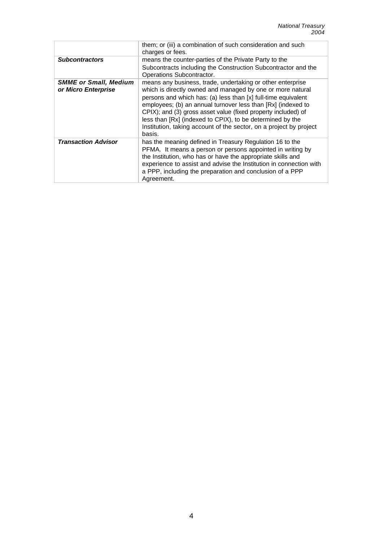|                                                     | them; or (iii) a combination of such consideration and such<br>charges or fees.                                                                                                                                                                                                                                                                                                                                                                                         |
|-----------------------------------------------------|-------------------------------------------------------------------------------------------------------------------------------------------------------------------------------------------------------------------------------------------------------------------------------------------------------------------------------------------------------------------------------------------------------------------------------------------------------------------------|
| <b>Subcontractors</b>                               | means the counter-parties of the Private Party to the<br>Subcontracts including the Construction Subcontractor and the<br>Operations Subcontractor.                                                                                                                                                                                                                                                                                                                     |
| <b>SMME or Small, Medium</b><br>or Micro Enterprise | means any business, trade, undertaking or other enterprise<br>which is directly owned and managed by one or more natural<br>persons and which has: (a) less than [x] full-time equivalent<br>employees; (b) an annual turnover less than [Rx] (indexed to<br>CPIX); and (3) gross asset value (fixed property included) of<br>less than [Rx] (indexed to CPIX), to be determined by the<br>Institution, taking account of the sector, on a project by project<br>basis. |
| <b>Transaction Advisor</b>                          | has the meaning defined in Treasury Regulation 16 to the<br>PFMA. It means a person or persons appointed in writing by<br>the Institution, who has or have the appropriate skills and<br>experience to assist and advise the Institution in connection with<br>a PPP, including the preparation and conclusion of a PPP<br>Agreement.                                                                                                                                   |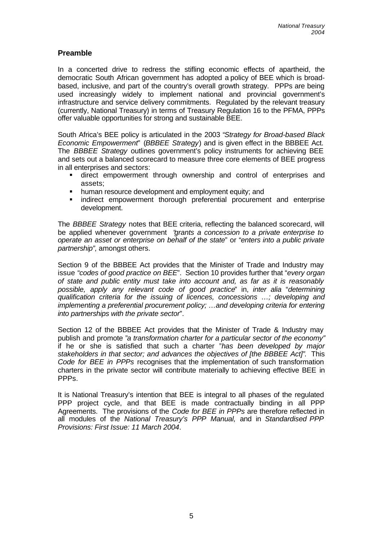## **Preamble**

In a concerted drive to redress the stifling economic effects of apartheid, the democratic South African government has adopted a policy of BEE which is broadbased, inclusive, and part of the country's overall growth strategy. PPPs are being used increasingly widely to implement national and provincial government's infrastructure and service delivery commitments. Regulated by the relevant treasury (currently, National Treasury) in terms of Treasury Regulation 16 to the PFMA, PPPs offer valuable opportunities for strong and sustainable BEE.

South Africa's BEE policy is articulated in the 2003 "*Strategy for Broad-based Black Economic Empowerment*" (*BBBEE Strategy*) and is given effect in the BBBEE Act. The *BBBEE Strategy* outlines government's policy instruments for achieving BEE and sets out a balanced scorecard to measure three core elements of BEE progress in all enterprises and sectors:

- **E** direct empowerment through ownership and control of enterprises and assets;
- **human resource development and employment equity; and**
- **Example indirect empowerment thorough preferential procurement and enterprise** development.

The *BBBEE Strategy* notes that BEE criteria, reflecting the balanced scorecard, will be applied whenever government "*grants a concession to a private enterprise to operate an asset or enterprise on behalf of the state*" or "*enters into a public private partnership",* amongst others.

Section 9 of the BBBEE Act provides that the Minister of Trade and Industry may issue "*codes of good practice on BEE*". Section 10 provides further that "*every organ of state and public entity must take into account and, as far as it is reasonably possible, apply any relevant code of good practice*" in, *inter alia* "*determining qualification criteria for the issuing of licences, concessions …; developing and implementing a preferential procurement policy; ... and developing criteria for entering into partnerships with the private sector*".

Section 12 of the BBBEE Act provides that the Minister of Trade & Industry may publish and promote "*a transformation charter for a particular sector of the economy"* if he or she is satisfied that such a charter "*has been developed by major stakeholders in that sector; and advances the objectives of [the BBBEE Act]"*. This *Code for BEE in PPPs* recognises that the implementation of such transformation charters in the private sector will contribute materially to achieving effective BEE in PPP<sub>S</sub>.

It is National Treasury's intention that BEE is integral to all phases of the regulated PPP project cycle, and that BEE is made contractually binding in all PPP Agreements. The provisions of the *Code for BEE in PPPs* are therefore reflected in all modules of the *National Treasury's PPP Manual,* and in *Standardised PPP Provisions: First Issue: 11 March 2004*.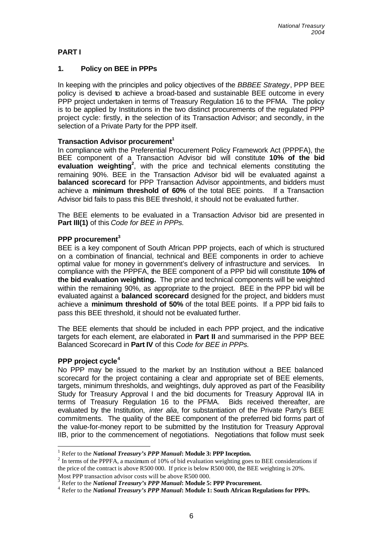## **PART I**

### **1. Policy on BEE in PPPs**

In keeping with the principles and policy objectives of the *BBBEE Strategy*, PPP BEE policy is devised to achieve a broad-based and sustainable BEE outcome in every PPP project undertaken in terms of Treasury Regulation 16 to the PFMA. The policy is to be applied by Institutions in the two distinct procurements of the regulated PPP project cycle: firstly, in the selection of its Transaction Advisor; and secondly, in the selection of a Private Party for the PPP itself.

### **Transaction Advisor procurement<sup>1</sup>**

In compliance with the Preferential Procurement Policy Framework Act (PPPFA), the BEE component of a Transaction Advisor bid will constitute **10% of the bid evaluation weighting<sup>2</sup>** , with the price and technical elements constituting the remaining 90%. BEE in the Transaction Advisor bid will be evaluated against a **balanced scorecard** for PPP Transaction Advisor appointments, and bidders must achieve a **minimum threshold of 60%** of the total BEE points. If a Transaction Advisor bid fails to pass this BEE threshold, it should not be evaluated further.

The BEE elements to be evaluated in a Transaction Advisor bid are presented in **Part III(1)** of this *Code for BEE in PPPs.*

### **PPP procurement<sup>3</sup>**

BEE is a key component of South African PPP projects, each of which is structured on a combination of financial, technical and BEE components in order to achieve optimal value for money in government's delivery of infrastructure and services. In compliance with the PPPFA, the BEE component of a PPP bid will constitute **10% of the bid evaluation weighting.** The price and technical components will be weighted within the remaining 90%, as appropriate to the project. BEE in the PPP bid will be evaluated against a **balanced scorecard** designed for the project, and bidders must achieve a **minimum threshold of 50%** of the total BEE points. If a PPP bid fails to pass this BEE threshold, it should not be evaluated further.

The BEE elements that should be included in each PPP project, and the indicative targets for each element, are elaborated in **Part II** and summarised in the PPP BEE Balanced Scorecard in **Part IV** of this C*ode for BEE in PPPs.*

#### **PPP project cycle<sup>4</sup>**

l

No PPP may be issued to the market by an Institution without a BEE balanced scorecard for the project containing a clear and appropriate set of BEE elements, targets, minimum thresholds, and weightings, duly approved as part of the Feasibility Study for Treasury Approval I and the bid documents for Treasury Approval IIA in terms of Treasury Regulation 16 to the PFMA. Bids received thereafter, are evaluated by the Institution, *inter alia*, for substantiation of the Private Party's BEE commitments. The quality of the BEE component of the preferred bid forms part of the value-for-money report to be submitted by the Institution for Treasury Approval IIB, prior to the commencement of negotiations. Negotiations that follow must seek

<sup>&</sup>lt;sup>1</sup> Refer to the *National Treasury's PPP Manual***: Module 3: PPP Inception.** 

 $2 \text{ In terms of the PPPFA, a maximum of 10\% of bid evaluation weighting goes to BEE considerations if}$ the price of the contract is above R500 000. If price is below R500 000, the BEE weighting is 20%. Most PPP transaction advisor costs will be above R500 000.

<sup>3</sup> Refer to the *National Treasury's PPP Manual***: Module 5: PPP Procurement.**

<sup>4</sup> Refer to the *National Treasury's PPP Manual***: Module 1: South African Regulations for PPPs.**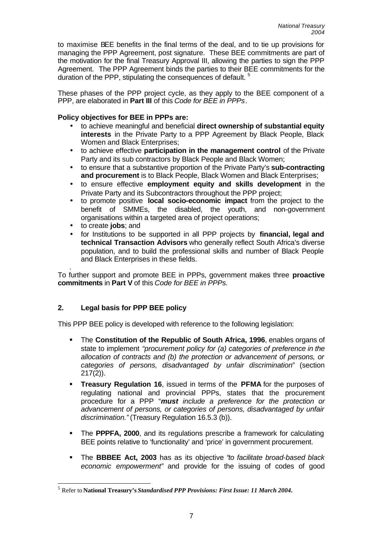to maximise BEE benefits in the final terms of the deal, and to tie up provisions for managing the PPP Agreement, post signature. These BEE commitments are part of the motivation for the final Treasury Approval III, allowing the parties to sign the PPP Agreement. The PPP Agreement binds the parties to their BEE commitments for the duration of the PPP, stipulating the consequences of default.<sup>5</sup>

These phases of the PPP project cycle, as they apply to the BEE component of a PPP, are elaborated in **Part III** of this *Code for BEE in PPPs*.

### **Policy objectives for BEE in PPPs are:**

- to achieve meaningful and beneficial **direct ownership of substantial equity interests** in the Private Party to a PPP Agreement by Black People, Black Women and Black Enterprises;
- to achieve effective **participation in the management control** of the Private Party and its sub contractors by Black People and Black Women;
- to ensure that a substantive proportion of the Private Party's **sub-contracting and procurement** is to Black People, Black Women and Black Enterprises;
- to ensure effective **employment equity and skills development** in the Private Party and its Subcontractors throughout the PPP project;
- to promote positive **local socio-economic impact** from the project to the benefit of SMMEs, the disabled, the youth, and non-government organisations within a targeted area of project operations;
- to create **jobs**; and
- for Institutions to be supported in all PPP projects by **financial, legal and technical Transaction Advisors** who generally reflect South Africa's diverse population, and to build the professional skills and number of Black People and Black Enterprises in these fields.

. To further support and promote BEE in PPPs, government makes three **proactive commitments** in **Part V** of this *Code for BEE in PPPs.*

## **2. Legal basis for PPP BEE policy**

This PPP BEE policy is developed with reference to the following legislation:

- **The Constitution of the Republic of South Africa, 1996**, enables organs of state to implement *"procurement policy for (a) categories of preference in the allocation of contracts and (b) the protection or advancement of persons, or categories of persons, disadvantaged by unfair discrimination*" (section 217(2)).
- ß **Treasury Regulation 16**, issued in terms of the **PFMA** for the purposes of regulating national and provincial PPPs, states that the procurement procedure for a PPP "*must include a preference for the protection or advancement of persons, or categories of persons, disadvantaged by unfair discrimination."* (Treasury Regulation 16.5.3 (b)).
- ß The **PPPFA, 2000**, and its regulations prescribe a framework for calculating BEE points relative to 'functionality' and 'price' in government procurement.
- ß The **BBBEE Act, 2003** has as its objective "*to facilitate broad-based black economic empowerment"* and provide for the issuing of codes of good

 $\overline{\phantom{a}}$ 5 Refer to **National Treasury's** *Standardised PPP Provisions: First Issue: 11 March 2004***.**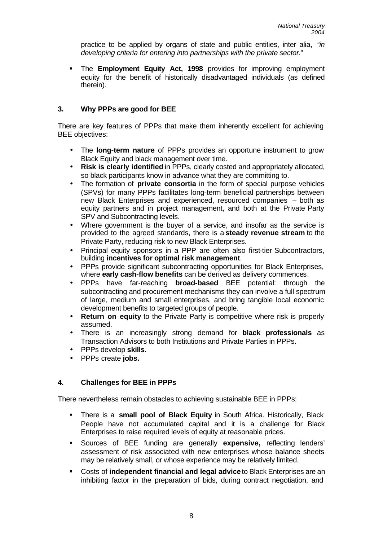practice to be applied by organs of state and public entities, inter alia, *"in developing criteria for entering into partnerships with the private sector.*"

ß The **Employment Equity Act, 1998** provides for improving employment equity for the benefit of historically disadvantaged individuals (as defined therein).

## **3. Why PPPs are good for BEE**

There are key features of PPPs that make them inherently excellent for achieving BEE objectives:

- The **long-term nature** of PPPs provides an opportune instrument to grow Black Equity and black management over time.
- **Risk is clearly identified** in PPPs, clearly costed and appropriately allocated, so black participants know in advance what they are committing to.
- The formation of **private consortia** in the form of special purpose vehicles (SPVs) for many PPPs facilitates long-term beneficial partnerships between new Black Enterprises and experienced, resourced companies – both as equity partners and in project management, and both at the Private Party SPV and Subcontracting levels.
- Where government is the buyer of a service, and insofar as the service is provided to the agreed standards, there is a **steady revenue stream** to the Private Party, reducing risk to new Black Enterprises.
- Principal equity sponsors in a PPP are often also first-tier Subcontractors, building **incentives for optimal risk management**.
- PPPs provide significant subcontracting opportunities for Black Enterprises, where **early cash-flow benefits** can be derived as delivery commences.
- PPPs have far-reaching **broad-based** BEE potential: through the subcontracting and procurement mechanisms they can involve a full spectrum of large, medium and small enterprises, and bring tangible local economic development benefits to targeted groups of people.
- **Return on equity** to the Private Party is competitive where risk is properly assumed.
- There is an increasingly strong demand for **black professionals** as Transaction Advisors to both Institutions and Private Parties in PPPs.
- PPPs develop **skills.**
- PPPs create **jobs.**

## **4. Challenges for BEE in PPPs**

There nevertheless remain obstacles to achieving sustainable BEE in PPPs:

- ß There is a **small pool of Black Equity** in South Africa. Historically, Black People have not accumulated capital and it is a challenge for Black Enterprises to raise required levels of equity at reasonable prices.
- ß Sources of BEE funding are generally **expensive,** reflecting lenders' assessment of risk associated with new enterprises whose balance sheets may be relatively small, or whose experience may be relatively limited.
- ß Costs of **independent financial and legal advice** to Black Enterprises are an inhibiting factor in the preparation of bids, during contract negotiation, and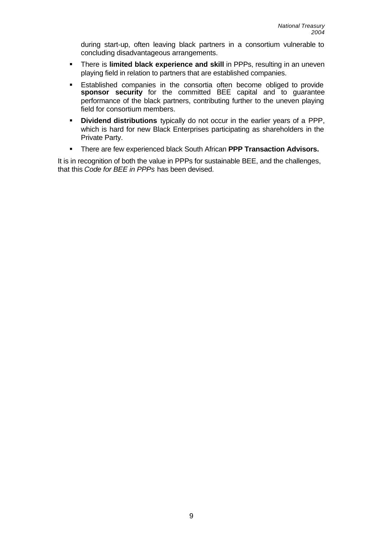during start-up, often leaving black partners in a consortium vulnerable to concluding disadvantageous arrangements.

- **There is limited black experience and skill in PPPs, resulting in an uneven** playing field in relation to partners that are established companies.
- ß Established companies in the consortia often become obliged to provide **sponsor security** for the committed BEE capital and to guarantee performance of the black partners, contributing further to the uneven playing field for consortium members.
- **Dividend distributions** typically do not occur in the earlier years of a PPP, which is hard for new Black Enterprises participating as shareholders in the Private Party.
- **FILT There are few experienced black South African PPP Transaction Advisors.**

It is in recognition of both the value in PPPs for sustainable BEE, and the challenges, that this *Code for BEE in PPPs* has been devised.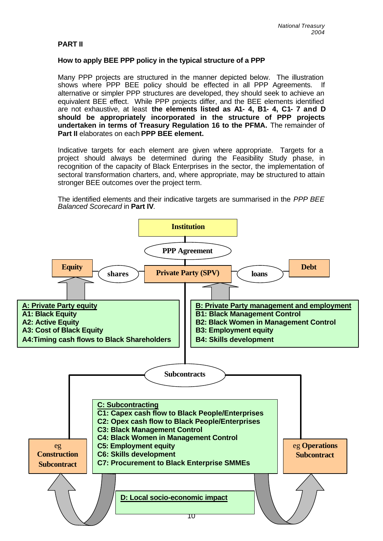#### **PART II**

#### **How to apply BEE PPP policy in the typical structure of a PPP**

Many PPP projects are structured in the manner depicted below. The illustration shows where PPP BEE policy should be effected in all PPP Agreements. If alternative or simpler PPP structures are developed, they should seek to achieve an equivalent BEE effect. While PPP projects differ, and the BEE elements identified are not exhaustive, at least **the elements listed as A1- 4, B1- 4, C1- 7 and D should be appropriately incorporated in the structure of PPP projects undertaken in terms of Treasury Regulation 16 to the PFMA.** The remainder of **Part II** elaborates on each **PPP BEE element.**

Indicative targets for each element are given where appropriate. Targets for a project should always be determined during the Feasibility Study phase, in recognition of the capacity of Black Enterprises in the sector, the implementation of sectoral transformation charters, and, where appropriate, may be structured to attain stronger BEE outcomes over the project term.

The identified elements and their indicative targets are summarised in the *PPP BEE Balanced Scorecard* in **Part IV**.

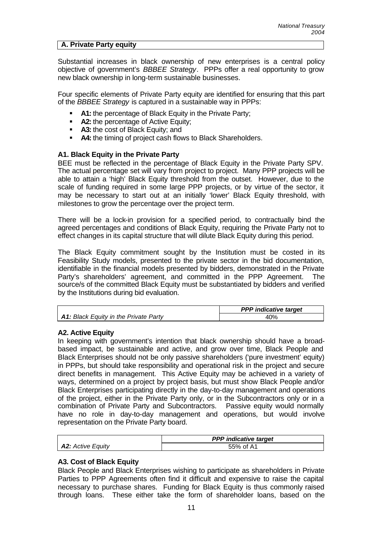#### **A. Private Party equity**

Substantial increases in black ownership of new enterprises is a central policy objective of government's *BBBEE Strategy*. PPPs offer a real opportunity to grow new black ownership in long-term sustainable businesses.

Four specific elements of Private Party equity are identified for ensuring that this part of the *BBBEE Strategy* is captured in a sustainable way in PPPs:

- A1: the percentage of Black Equity in the Private Party;
- **A2:** the percentage of Active Equity;
- **A3:** the cost of Black Equity; and
- **A4:** the timing of project cash flows to Black Shareholders.

#### **A1. Black Equity in the Private Party**

BEE must be reflected in the percentage of Black Equity in the Private Party SPV. The actual percentage set will vary from project to project. Many PPP projects will be able to attain a 'high' Black Equity threshold from the outset. However, due to the scale of funding required in some large PPP projects, or by virtue of the sector, it may be necessary to start out at an initially 'lower' Black Equity threshold, with milestones to grow the percentage over the project term.

There will be a lock-in provision for a specified period, to contractually bind the agreed percentages and conditions of Black Equity, requiring the Private Party not to effect changes in its capital structure that will dilute Black Equity during this period.

The Black Equity commitment sought by the Institution must be costed in its Feasibility Study models, presented to the private sector in the bid documentation, identifiable in the financial models presented by bidders, demonstrated in the Private Party's shareholders' agreement, and committed in the PPP Agreement. The source/s of the committed Black Equity must be substantiated by bidders and verified by the Institutions during bid evaluation.

|                                              | <b>PPP</b> indicative target |
|----------------------------------------------|------------------------------|
| <b>A1: Black Equity in the Private Party</b> | 40%                          |

#### **A2. Active Equity**

In keeping with government's intention that black ownership should have a broadbased impact, be sustainable and active, and grow over time, Black People and Black Enterprises should not be only passive shareholders ('pure investment' equity) in PPPs, but should take responsibility and operational risk in the project and secure direct benefits in management. This Active Equity may be achieved in a variety of ways, determined on a project by project basis, but must show Black People and/or Black Enterprises participating directly in the day-to-day management and operations of the project, either in the Private Party only, or in the Subcontractors only or in a combination of Private Party and Subcontractors. Passive equity would normally have no role in day-to-day management and operations, but would involve representation on the Private Party board.

|                          | <b>PPP</b> indicative target |  |
|--------------------------|------------------------------|--|
| <b>A2:</b> Active Equity | 55% of A1                    |  |

#### **A3. Cost of Black Equity**

Black People and Black Enterprises wishing to participate as shareholders in Private Parties to PPP Agreements often find it difficult and expensive to raise the capital necessary to purchase shares. Funding for Black Equity is thus commonly raised through loans. These either take the form of shareholder loans, based on the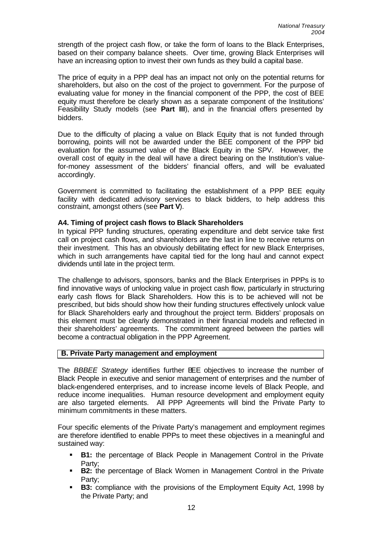strength of the project cash flow, or take the form of loans to the Black Enterprises, based on their company balance sheets. Over time, growing Black Enterprises will have an increasing option to invest their own funds as they build a capital base.

The price of equity in a PPP deal has an impact not only on the potential returns for shareholders, but also on the cost of the project to government. For the purpose of evaluating value for money in the financial component of the PPP, the cost of BEE equity must therefore be clearly shown as a separate component of the Institutions' Feasibility Study models (see **Part III**), and in the financial offers presented by bidders.

Due to the difficulty of placing a value on Black Equity that is not funded through borrowing, points will not be awarded under the BEE component of the PPP bid evaluation for the assumed value of the Black Equity in the SPV. However, the overall cost of equity in the deal will have a direct bearing on the Institution's valuefor-money assessment of the bidders' financial offers, and will be evaluated accordingly.

Government is committed to facilitating the establishment of a PPP BEE equity facility with dedicated advisory services to black bidders, to help address this constraint, amongst others (see **Part V**).

### **A4. Timing of project cash flows to Black Shareholders**

In typical PPP funding structures, operating expenditure and debt service take first call on project cash flows, and shareholders are the last in line to receive returns on their investment. This has an obviously debilitating effect for new Black Enterprises, which in such arrangements have capital tied for the long haul and cannot expect dividends until late in the project term.

The challenge to advisors, sponsors, banks and the Black Enterprises in PPPs is to find innovative ways of unlocking value in project cash flow, particularly in structuring early cash flows for Black Shareholders. How this is to be achieved will not be prescribed, but bids should show how their funding structures effectively unlock value for Black Shareholders early and throughout the project term. Bidders' proposals on this element must be clearly demonstrated in their financial models and reflected in their shareholders' agreements. The commitment agreed between the parties will become a contractual obligation in the PPP Agreement.

#### **B. Private Party management and employment**

The *BBBEE Strategy* identifies further BEE objectives to increase the number of Black People in executive and senior management of enterprises and the number of black-engendered enterprises, and to increase income levels of Black People, and reduce income inequalities. Human resource development and employment equity are also targeted elements. All PPP Agreements will bind the Private Party to minimum commitments in these matters.

Four specific elements of the Private Party's management and employment regimes are therefore identified to enable PPPs to meet these objectives in a meaningful and sustained way:

- **B1:** the percentage of Black People in Management Control in the Private Party;
- **B2:** the percentage of Black Women in Management Control in the Private Party;
- ß **B3:** compliance with the provisions of the Employment Equity Act, 1998 by the Private Party; and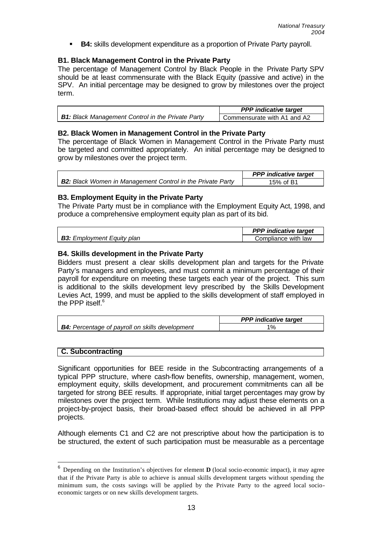**B4:** skills development expenditure as a proportion of Private Party payroll.

### **B1. Black Management Control in the Private Party**

The percentage of Management Control by Black People in the Private Party SPV should be at least commensurate with the Black Equity (passive and active) in the SPV. An initial percentage may be designed to grow by milestones over the project term.

|                                                          | <b>PPP</b> indicative target |
|----------------------------------------------------------|------------------------------|
| <b>B1:</b> Black Management Control in the Private Party | Commensurate with A1 and A2  |

#### **B2. Black Women in Management Control in the Private Party**

The percentage of Black Women in Management Control in the Private Party must be targeted and committed appropriately. An initial percentage may be designed to grow by milestones over the project term.

|                                                                   | <b>PPP</b> indicative target |
|-------------------------------------------------------------------|------------------------------|
| <b>B2:</b> Black Women in Management Control in the Private Party | 15% of B1                    |

### **B3. Employment Equity in the Private Party**

The Private Party must be in compliance with the Employment Equity Act, 1998, and produce a comprehensive employment equity plan as part of its bid.

|                                   | <b>PPP</b> indicative target |
|-----------------------------------|------------------------------|
| <b>B3:</b> Employment Equity plan | Compliance with law          |

### **B4. Skills development in the Private Party**

Bidders must present a clear skills development plan and targets for the Private Party's managers and employees, and must commit a minimum percentage of their payroll for expenditure on meeting these targets each year of the project. This sum is additional to the skills development levy prescribed by the Skills Development Levies Act, 1999, and must be applied to the skills development of staff employed in the PPP itself. $^6$ 

|                                                        | <b>PPP</b> indicative target |
|--------------------------------------------------------|------------------------------|
| <b>B4:</b> Percentage of payroll on skills development |                              |

#### **C. Subcontracting**

l

Significant opportunities for BEE reside in the Subcontracting arrangements of a typical PPP structure, where cash-flow benefits, ownership, management, women, employment equity, skills development, and procurement commitments can all be targeted for strong BEE results. If appropriate, initial target percentages may grow by milestones over the project term. While Institutions may adjust these elements on a project-by-project basis, their broad-based effect should be achieved in all PPP projects.

Although elements C1 and C2 are not prescriptive about how the participation is to be structured, the extent of such participation must be measurable as a percentage

<sup>6</sup> Depending on the Institution's objectives for element **D** (local socio-economic impact), it may agree that if the Private Party is able to achieve is annual skills development targets without spending the minimum sum, the costs savings will be applied by the Private Party to the agreed local socioeconomic targets or on new skills development targets.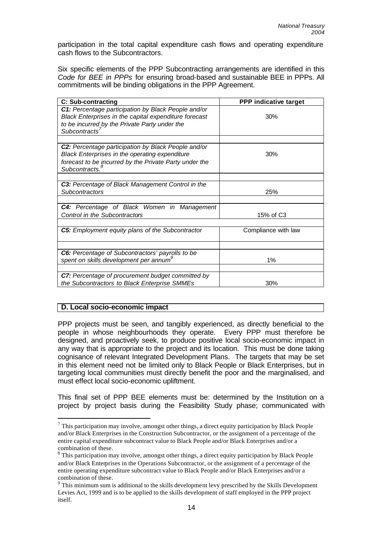participation in the total capital expenditure cash flows and operating expenditure cash flows to the Subcontractors.

Six specific elements of the PPP Subcontracting arrangements are identified in this *Code for BEE in PPPs* for ensuring broad-based and sustainable BEE in PPPs. All commitments will be binding obligations in the PPP Agreement.

| <b>C: Sub-contracting</b>                                                                                                                                                                     | <b>PPP indicative target</b> |
|-----------------------------------------------------------------------------------------------------------------------------------------------------------------------------------------------|------------------------------|
| C1: Percentage participation by Black People and/or<br>Black Enterprises in the capital expenditure forecast<br>to be incurred by the Private Party under the<br>Subcontracts <sup>7</sup>    | 30%                          |
|                                                                                                                                                                                               |                              |
| C2: Percentage participation by Black People and/or<br>Black Enterprises in the operating expenditure<br>forecast to be incurred by the Private Party under the<br>Subcontracts. <sup>8</sup> | 30%                          |
|                                                                                                                                                                                               |                              |
| C3: Percentage of Black Management Control in the<br><b>Subcontractors</b>                                                                                                                    | 25%                          |
|                                                                                                                                                                                               |                              |
| C4: Percentage of Black Women in Management<br>Control in the Subcontractors                                                                                                                  | 15% of C3                    |
|                                                                                                                                                                                               |                              |
| C5: Employment equity plans of the Subcontractor                                                                                                                                              | Compliance with law          |
|                                                                                                                                                                                               |                              |
| C6: Percentage of Subcontractors' payrolls to be<br>spent on skills development per annum <sup>®</sup>                                                                                        | 1%                           |
|                                                                                                                                                                                               |                              |
| C7: Percentage of procurement budget committed by<br>the Subcontractors to Black Enterprise SMMEs                                                                                             | 30%                          |

## **D. Local socio-economic impact**

l

PPP projects must be seen, and tangibly experienced, as directly beneficial to the people in whose neighbourhoods they operate. Every PPP must therefore be designed, and proactively seek, to produce positive local socio-economic impact in any way that is appropriate to the project and its location. This must be done taking cognisance of relevant Integrated Development Plans. The targets that may be set in this element need not be limited only to Black People or Black Enterprises, but in targeting local communities must directly benefit the poor and the marginalised, and must effect local socio-economic upliftment.

This final set of PPP BEE elements must be: determined by the Institution on a project by project basis during the Feasibility Study phase; communicated with

 $^7$  This participation may involve, amongst other things, a direct equity participation by Black People and/or Black Enterprises in the Construction Subcontractor, or the assignment of a percentage of the entire capital expenditure subcontract value to Black People and/or Black Enterprises and/or a combination of these.

 $8$  This participation may involve, amongst other things, a direct equity participation by Black People and/or Black Enterprises in the Operations Subcontractor, or the assignment of a percentage of the entire operating expenditure subcontract value to Black People and/or Black Enterprises and/or a combination of these.

 $9$  This minimum sum is additional to the skills development levy prescribed by the Skills Development Levies Act, 1999 and is to be applied to the skills development of staff employed in the PPP project itself.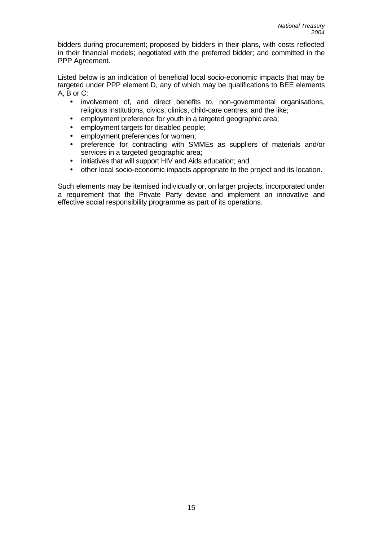bidders during procurement; proposed by bidders in their plans, with costs reflected in their financial models; negotiated with the preferred bidder; and committed in the PPP Agreement.

Listed below is an indication of beneficial local socio-economic impacts that may be targeted under PPP element D, any of which may be qualifications to BEE elements A, B or C:

- involvement of, and direct benefits to, non-governmental organisations, religious institutions, civics, clinics, child-care centres, and the like;
- employment preference for youth in a targeted geographic area;
- employment targets for disabled people;
- employment preferences for women;
- preference for contracting with SMMEs as suppliers of materials and/or services in a targeted geographic area;
- initiatives that will support HIV and Aids education; and
- other local socio-economic impacts appropriate to the project and its location.

Such elements may be itemised individually or, on larger projects, incorporated under a requirement that the Private Party devise and implement an innovative and effective social responsibility programme as part of its operations.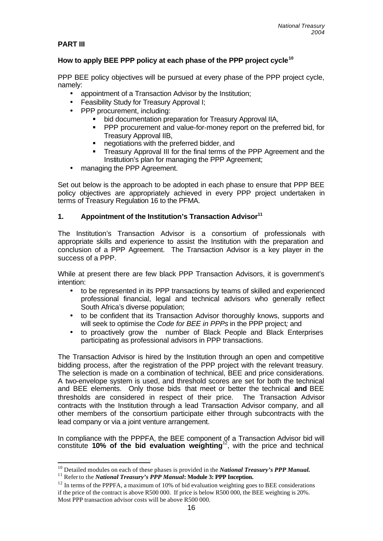### **PART III**

l

## **How to apply BEE PPP policy at each phase of the PPP project cycle<sup>10</sup>**

PPP BEE policy objectives will be pursued at every phase of the PPP project cycle, namely:

- appointment of a Transaction Advisor by the Institution;
- Feasibility Study for Treasury Approval I;
- PPP procurement, including:
	- bid documentation preparation for Treasury Approval IIA,
	- PPP procurement and value-for-money report on the preferred bid, for Treasury Approval IIB,
	- **•** negotiations with the preferred bidder, and
	- **FI** Treasury Approval III for the final terms of the PPP Agreement and the Institution's plan for managing the PPP Agreement;
- managing the PPP Agreement.

Set out below is the approach to be adopted in each phase to ensure that PPP BEE policy objectives are appropriately achieved in every PPP project undertaken in terms of Treasury Regulation 16 to the PFMA.

### **1. Appointment of the Institution's Transaction Advisor<sup>11</sup>**

The Institution's Transaction Advisor is a consortium of professionals with appropriate skills and experience to assist the Institution with the preparation and conclusion of a PPP Agreement. The Transaction Advisor is a key player in the success of a PPP.

While at present there are few black PPP Transaction Advisors, it is government's intention:

- to be represented in its PPP transactions by teams of skilled and experienced professional financial, legal and technical advisors who generally reflect South Africa's diverse population;
- to be confident that its Transaction Advisor thoroughly knows, supports and will seek to optimise the *Code for BEE in PPPs* in the PPP project*;* and
- to proactively grow the number of Black People and Black Enterprises participating as professional advisors in PPP transactions.

The Transaction Advisor is hired by the Institution through an open and competitive bidding process, after the registration of the PPP project with the relevant treasury. The selection is made on a combination of technical, BEE and price considerations. A two-envelope system is used, and threshold scores are set for both the technical and BEE elements. Only those bids that meet or better the technical **and** BEE thresholds are considered in respect of their price. The Transaction Advisor contracts with the Institution through a lead Transaction Advisor company, and all other members of the consortium participate either through subcontracts with the lead company or via a joint venture arrangement.

In compliance with the PPPFA, the BEE component of a Transaction Advisor bid will constitute **10% of the bid evaluation weighting**<sup>12</sup>, with the price and technical

<sup>10</sup> Detailed modules on each of these phases is provided in the *National Treasury's PPP Manual.*

<sup>11</sup> Refer to the *National Treasury's PPP Manual***: Module 3: PPP Inception.**

 $12$  In terms of the PPPFA, a maximum of 10% of bid evaluation weighting goes to BEE considerations if the price of the contract is above R500 000. If price is below R500 000, the BEE weighting is 20%. Most PPP transaction advisor costs will be above R500 000.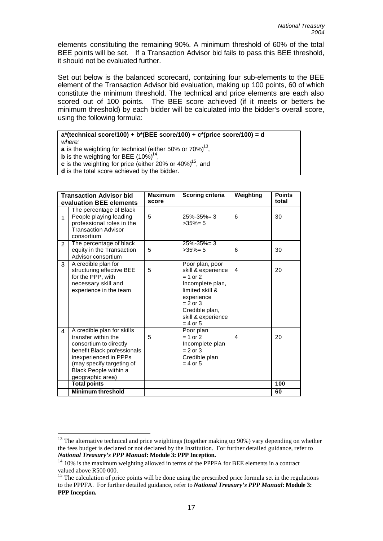elements constituting the remaining 90%. A minimum threshold of 60% of the total BEE points will be set. If a Transaction Advisor bid fails to pass this BEE threshold, it should not be evaluated further.

Set out below is the balanced scorecard, containing four sub-elements to the BEE element of the Transaction Advisor bid evaluation, making up 100 points, 60 of which constitute the minimum threshold. The technical and price elements are each also scored out of 100 points. The BEE score achieved (if it meets or betters the minimum threshold) by each bidder will be calculated into the bidder's overall score, using the following formula:

#### **a\*(technical score/100) + b\*(BEE score/100) + c\*(price score/100) = d**

*where:* 

l

**a** is the weighting for technical (either 50% or 70%) $^{13}$ ,

**b** is the weighting for BEE  $(10\%)^{14}$ ,

**c** is the weighting for price (either 20% or 40%)<sup>15</sup>, and

**d** is the total score achieved by the bidder.

|                | <b>Transaction Advisor bid</b><br>evaluation BEE elements                                                                                                                                                     | <b>Maximum</b><br>score | <b>Scoring criteria</b>                                                                                                                                                      | Weighting | <b>Points</b><br>total |
|----------------|---------------------------------------------------------------------------------------------------------------------------------------------------------------------------------------------------------------|-------------------------|------------------------------------------------------------------------------------------------------------------------------------------------------------------------------|-----------|------------------------|
| $\mathbf{1}$   | The percentage of Black<br>People playing leading<br>professional roles in the<br><b>Transaction Advisor</b><br>consortium                                                                                    | 5                       | $25\% - 35\% = 3$<br>$>35\% = 5$                                                                                                                                             | 6         | 30                     |
| $\overline{2}$ | The percentage of black<br>equity in the Transaction<br>Advisor consortium                                                                                                                                    | 5                       | $25\% - 35\% = 3$<br>$>35\% = 5$                                                                                                                                             | 6         | 30                     |
| 3              | A credible plan for<br>structuring effective BEE<br>for the PPP, with<br>necessary skill and<br>experience in the team                                                                                        | 5                       | Poor plan, poor<br>skill & experience<br>$= 1$ or 2<br>Incomplete plan,<br>limited skill &<br>experience<br>$= 2$ or 3<br>Credible plan,<br>skill & experience<br>$= 4$ or 5 | 4         | 20                     |
| 4              | A credible plan for skills<br>transfer within the<br>consortium to directly<br>benefit Black professionals<br>inexperienced in PPPs<br>(may specify targeting of<br>Black People within a<br>geographic area) | 5                       | Poor plan<br>$= 1$ or 2<br>Incomplete plan<br>$= 2$ or 3<br>Credible plan<br>$= 4$ or 5                                                                                      | 4         | 20                     |
|                | <b>Total points</b>                                                                                                                                                                                           |                         |                                                                                                                                                                              |           | 100                    |
|                | <b>Minimum threshold</b>                                                                                                                                                                                      |                         |                                                                                                                                                                              |           | 60                     |

<sup>&</sup>lt;sup>13</sup> The alternative technical and price weightings (together making up 90%) vary depending on whether the fees budget is declared or not declared by the Institution. For further detailed guidance, refer to *National Treasury's PPP Manual***: Module 3: PPP Inception.**

<sup>&</sup>lt;sup>14</sup> 10% is the maximum weighting allowed in terms of the PPPFA for BEE elements in a contract valued above R500 000.

<sup>&</sup>lt;sup>15</sup> The calculation of price points will be done using the prescribed price formula set in the regulations to the PPPFA. For further detailed guidance, refer to *National Treasury's PPP Manual:* **Module 3: PPP Inception.**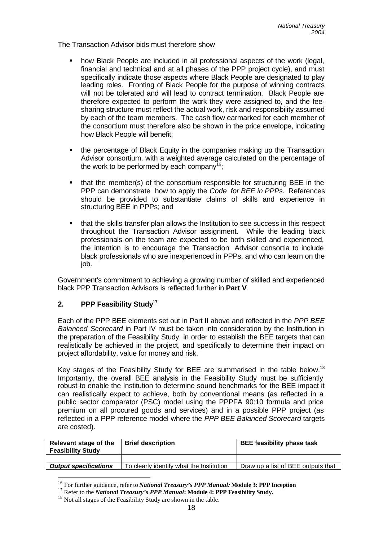The Transaction Advisor bids must therefore show

- ß how Black People are included in all professional aspects of the work (legal, financial and technical and at all phases of the PPP project cycle), and must specifically indicate those aspects where Black People are designated to play leading roles. Fronting of Black People for the purpose of winning contracts will not be tolerated and will lead to contract termination. Black People are therefore expected to perform the work they were assigned to, and the feesharing structure must reflect the actual work, risk and responsibility assumed by each of the team members. The cash flow earmarked for each member of the consortium must therefore also be shown in the price envelope, indicating how Black People will benefit;
- ß the percentage of Black Equity in the companies making up the Transaction Advisor consortium, with a weighted average calculated on the percentage of the work to be performed by each company<sup>16</sup>;
- ß that the member(s) of the consortium responsible for structuring BEE in the PPP can demonstrate how to apply the *Code for BEE in PPPs.* References should be provided to substantiate claims of skills and experience in structuring BEE in PPPs; and
- ß that the skills transfer plan allows the Institution to see success in this respect throughout the Transaction Advisor assignment. While the leading black professionals on the team are expected to be both skilled and experienced, the intention is to encourage the Transaction Advisor consortia to include black professionals who are inexperienced in PPPs, and who can learn on the job.

Government's commitment to achieving a growing number of skilled and experienced black PPP Transaction Advisors is reflected further in **Part V**.

## **2. PPP Feasibility Study<sup>17</sup>**

l

Each of the PPP BEE elements set out in Part II above and reflected in the *PPP BEE Balanced Scorecard* in Part IV must be taken into consideration by the Institution in the preparation of the Feasibility Study, in order to establish the BEE targets that can realistically be achieved in the project, and specifically to determine their impact on project affordability, value for money and risk.

Key stages of the Feasibility Study for BEE are summarised in the table below.<sup>18</sup> Importantly, the overall BEE analysis in the Feasibility Study must be sufficiently robust to enable the Institution to determine sound benchmarks for the BEE impact it can realistically expect to achieve, both by conventional means (as reflected in a public sector comparator (PSC) model using the PPPFA 90:10 formula and price premium on all procured goods and services) and in a possible PPP project (as reflected in a PPP reference model where the *PPP BEE Balanced Scorecard* targets are costed).

| Relevant stage of the<br><b>Feasibility Study</b> | <b>Brief description</b>                 | <b>BEE feasibility phase task</b>  |
|---------------------------------------------------|------------------------------------------|------------------------------------|
|                                                   |                                          |                                    |
| <b>Output specifications</b>                      | To clearly identify what the Institution | Draw up a list of BEE outputs that |

<sup>16</sup> For further guidance, refer to *National Treasury's PPP Manual:* **Module 3: PPP Inception**

<sup>17</sup> Refer to the *National Treasury's PPP Manual***: Module 4: PPP Feasibility Study.**

<sup>&</sup>lt;sup>18</sup> Not all stages of the Feasibility Study are shown in the table.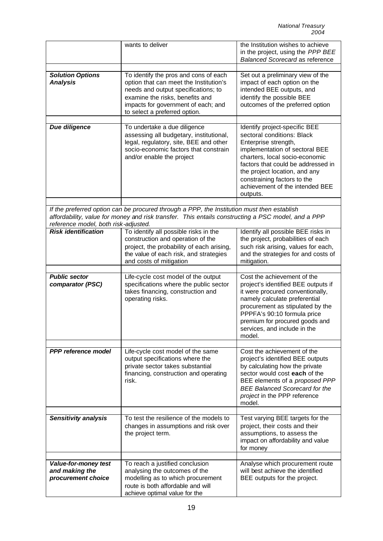|                                                                     | wants to deliver                                                                                                                                                                                                                  | the Institution wishes to achieve<br>in the project, using the PPP BEE<br><b>Balanced Scorecard as reference</b>                                                                                                                                                                                             |
|---------------------------------------------------------------------|-----------------------------------------------------------------------------------------------------------------------------------------------------------------------------------------------------------------------------------|--------------------------------------------------------------------------------------------------------------------------------------------------------------------------------------------------------------------------------------------------------------------------------------------------------------|
|                                                                     |                                                                                                                                                                                                                                   |                                                                                                                                                                                                                                                                                                              |
| <b>Solution Options</b><br><b>Analysis</b>                          | To identify the pros and cons of each<br>option that can meet the Institution's<br>needs and output specifications; to<br>examine the risks, benefits and<br>impacts for government of each; and<br>to select a preferred option. | Set out a preliminary view of the<br>impact of each option on the<br>intended BEE outputs, and<br>identify the possible BEE<br>outcomes of the preferred option                                                                                                                                              |
| <b>Due diligence</b>                                                | To undertake a due diligence<br>assessing all budgetary, institutional,<br>legal, regulatory, site, BEE and other<br>socio-economic factors that constrain<br>and/or enable the project                                           | Identify project-specific BEE<br>sectoral conditions: Black<br>Enterprise strength,<br>implementation of sectoral BEE<br>charters, local socio-economic<br>factors that could be addressed in<br>the project location, and any<br>constraining factors to the<br>achievement of the intended BEE<br>outputs. |
|                                                                     |                                                                                                                                                                                                                                   |                                                                                                                                                                                                                                                                                                              |
| reference model, both risk-adjusted.                                | If the preferred option can be procured through a PPP, the Institution must then establish<br>affordability, value for money and risk transfer. This entails constructing a PSC model, and a PPP                                  |                                                                                                                                                                                                                                                                                                              |
| <b>Risk identification</b>                                          | To identify all possible risks in the                                                                                                                                                                                             | Identify all possible BEE risks in                                                                                                                                                                                                                                                                           |
|                                                                     | construction and operation of the<br>project, the probability of each arising,<br>the value of each risk, and strategies<br>and costs of mitigation                                                                               | the project, probabilities of each<br>such risk arising, values for each,<br>and the strategies for and costs of<br>mitigation.                                                                                                                                                                              |
|                                                                     |                                                                                                                                                                                                                                   |                                                                                                                                                                                                                                                                                                              |
| <b>Public sector</b><br>comparator (PSC)                            | Life-cycle cost model of the output<br>specifications where the public sector<br>takes financing, construction and<br>operating risks.                                                                                            | Cost the achievement of the<br>project's identified BEE outputs if<br>it were procured conventionally,<br>namely calculate preferential<br>procurement as stipulated by the<br>PPPFA's 90:10 formula price<br>premium for procured goods and<br>services, and include in the<br>model.                       |
|                                                                     |                                                                                                                                                                                                                                   |                                                                                                                                                                                                                                                                                                              |
| PPP reference model                                                 | Life-cycle cost model of the same<br>output specifications where the<br>private sector takes substantial<br>financing, construction and operating<br>risk.                                                                        | Cost the achievement of the<br>project's identified BEE outputs<br>by calculating how the private<br>sector would cost each of the<br>BEE elements of a proposed PPP<br><b>BEE Balanced Scorecard for the</b><br>project in the PPP reference<br>model.                                                      |
|                                                                     | To test the resilience of the models to                                                                                                                                                                                           |                                                                                                                                                                                                                                                                                                              |
| <b>Sensitivity analysis</b>                                         | changes in assumptions and risk over<br>the project term.                                                                                                                                                                         | Test varying BEE targets for the<br>project, their costs and their<br>assumptions, to assess the<br>impact on affordability and value<br>for money                                                                                                                                                           |
|                                                                     |                                                                                                                                                                                                                                   |                                                                                                                                                                                                                                                                                                              |
| <b>Value-for-money test</b><br>and making the<br>procurement choice | To reach a justified conclusion<br>analysing the outcomes of the<br>modelling as to which procurement<br>route is both affordable and will<br>achieve optimal value for the                                                       | Analyse which procurement route<br>will best achieve the identified<br>BEE outputs for the project.                                                                                                                                                                                                          |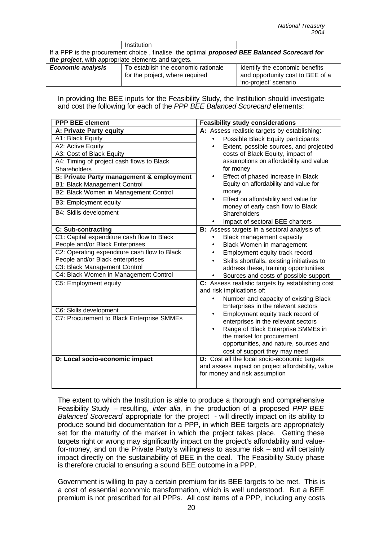|                                                                                              | Institution                         |                                  |  |  |  |
|----------------------------------------------------------------------------------------------|-------------------------------------|----------------------------------|--|--|--|
| If a PPP is the procurement choice, finalise the optimal proposed BEE Balanced Scorecard for |                                     |                                  |  |  |  |
| the project, with appropriate elements and targets.                                          |                                     |                                  |  |  |  |
| <b>Economic analysis</b>                                                                     | To establish the economic rationale | Identify the economic benefits   |  |  |  |
|                                                                                              | for the project, where required     | and opportunity cost to BEE of a |  |  |  |
|                                                                                              |                                     | 'no-project' scenario            |  |  |  |

In providing the BEE inputs for the Feasibility Study, the Institution should investigate and cost the following for each of the *PPP BEE Balanced Scorecard* elements:

| <b>PPP BEE element</b>                                                          | <b>Feasibility study considerations</b>                                       |  |  |
|---------------------------------------------------------------------------------|-------------------------------------------------------------------------------|--|--|
| A: Private Party equity                                                         | A: Assess realistic targets by establishing:                                  |  |  |
| A1: Black Equity                                                                | Possible Black Equity participants<br>$\bullet$                               |  |  |
| A2: Active Equity                                                               | Extent, possible sources, and projected<br>$\bullet$                          |  |  |
| A3: Cost of Black Equity                                                        | costs of Black Equity, impact of                                              |  |  |
| A4: Timing of project cash flows to Black                                       | assumptions on affordability and value                                        |  |  |
| Shareholders                                                                    | for money                                                                     |  |  |
| <b>B: Private Party management &amp; employment</b>                             | Effect of phased increase in Black<br>$\bullet$                               |  |  |
| <b>B1: Black Management Control</b>                                             | Equity on affordability and value for                                         |  |  |
| B2: Black Women in Management Control                                           | money                                                                         |  |  |
| B3: Employment equity                                                           | Effect on affordability and value for<br>$\bullet$                            |  |  |
| B4: Skills development                                                          | money of early cash flow to Black                                             |  |  |
|                                                                                 | Shareholders                                                                  |  |  |
|                                                                                 | Impact of sectoral BEE charters                                               |  |  |
| C: Sub-contracting                                                              | B: Assess targets in a sectoral analysis of:                                  |  |  |
| C1: Capital expenditure cash flow to Black                                      | Black management capacity<br>$\bullet$                                        |  |  |
| People and/or Black Enterprises                                                 | Black Women in management<br>٠                                                |  |  |
| C2: Operating expenditure cash flow to Black<br>People and/or Black enterprises | Employment equity track record<br>$\bullet$                                   |  |  |
| C3: Black Management Control                                                    | Skills shortfalls, existing initiatives to<br>$\bullet$                       |  |  |
| C4: Black Women in Management Control                                           | address these, training opportunities                                         |  |  |
| C5: Employment equity                                                           | Sources and costs of possible support                                         |  |  |
|                                                                                 | C: Assess realistic targets by establishing cost<br>and risk implications of: |  |  |
|                                                                                 | Number and capacity of existing Black<br>$\bullet$                            |  |  |
|                                                                                 | Enterprises in the relevant sectors                                           |  |  |
| C6: Skills development                                                          | Employment equity track record of<br>$\bullet$                                |  |  |
| C7: Procurement to Black Enterprise SMMEs                                       | enterprises in the relevant sectors                                           |  |  |
|                                                                                 | Range of Black Enterprise SMMEs in<br>$\bullet$                               |  |  |
|                                                                                 | the market for procurement                                                    |  |  |
|                                                                                 | opportunities, and nature, sources and                                        |  |  |
|                                                                                 | cost of support they may need                                                 |  |  |
| D: Local socio-economic impact                                                  | D: Cost all the local socio-economic targets                                  |  |  |
|                                                                                 | and assess impact on project affordability, value                             |  |  |
|                                                                                 | for money and risk assumption                                                 |  |  |
|                                                                                 |                                                                               |  |  |

The extent to which the Institution is able to produce a thorough and comprehensive Feasibility Study – resulting, *inter alia*, in the production of a proposed *PPP BEE Balanced Scorecard* appropriate for the project - will directly impact on its ability to produce sound bid documentation for a PPP, in which BEE targets are appropriately set for the maturity of the market in which the project takes place. Getting these targets right or wrong may significantly impact on the project's affordability and valuefor-money, and on the Private Party's willingness to assume risk – and will certainly impact directly on the sustainability of BEE in the deal. The Feasibility Study phase is therefore crucial to ensuring a sound BEE outcome in a PPP.

Government is willing to pay a certain premium for its BEE targets to be met. This is a cost of essential economic transformation, which is well understood. But a BEE premium is not prescribed for all PPPs. All cost items of a PPP, including any costs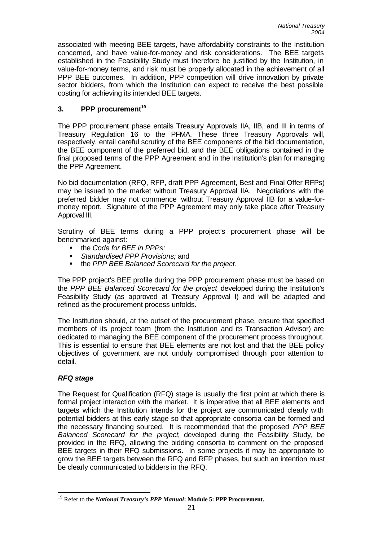associated with meeting BEE targets, have affordability constraints to the Institution concerned, and have value-for-money and risk considerations. The BEE targets established in the Feasibility Study must therefore be justified by the Institution, in value-for-money terms, and risk must be properly allocated in the achievement of all PPP BEE outcomes. In addition, PPP competition will drive innovation by private sector bidders, from which the Institution can expect to receive the best possible costing for achieving its intended BEE targets.

## **3. PPP procurement<sup>19</sup>**

The PPP procurement phase entails Treasury Approvals IIA, IIB, and III in terms of Treasury Regulation 16 to the PFMA. These three Treasury Approvals will, respectively, entail careful scrutiny of the BEE components of the bid documentation, the BEE component of the preferred bid, and the BEE obligations contained in the final proposed terms of the PPP Agreement and in the Institution's plan for managing the PPP Agreement.

No bid documentation (RFQ, RFP, draft PPP Agreement, Best and Final Offer RFPs) may be issued to the market without Treasury Approval IIA. Negotiations with the preferred bidder may not commence without Treasury Approval IIB for a value-formoney report. Signature of the PPP Agreement may only take place after Treasury Approval III.

Scrutiny of BEE terms during a PPP project's procurement phase will be benchmarked against:

- the *Code for BEE in PPPs*;
- ß *Standardised PPP Provisions;* and
- the *PPP BEE Balanced Scorecard for the project*.

The PPP project's BEE profile during the PPP procurement phase must be based on the *PPP BEE Balanced Scorecard for the project* developed during the Institution's Feasibility Study (as approved at Treasury Approval I) and will be adapted and refined as the procurement process unfolds.

The Institution should, at the outset of the procurement phase, ensure that specified members of its project team (from the Institution and its Transaction Advisor) are dedicated to managing the BEE component of the procurement process throughout. This is essential to ensure that BEE elements are not lost and that the BEE policy objectives of government are not unduly compromised through poor attention to detail.

## *RFQ stage*

The Request for Qualification (RFQ) stage is usually the first point at which there is formal project interaction with the market. It is imperative that all BEE elements and targets which the Institution intends for the project are communicated clearly with potential bidders at this early stage so that appropriate consortia can be formed and the necessary financing sourced. It is recommended that the proposed *PPP BEE Balanced Scorecard for the project*, developed during the Feasibility Study, be provided in the RFQ, allowing the bidding consortia to comment on the proposed BEE targets in their RFQ submissions. In some projects it may be appropriate to grow the BEE targets between the RFQ and RFP phases, but such an intention must be clearly communicated to bidders in the RFQ.

 $\overline{\phantom{a}}$ <sup>19</sup> Refer to the *National Treasury's PPP Manual***: Module 5: PPP Procurement.**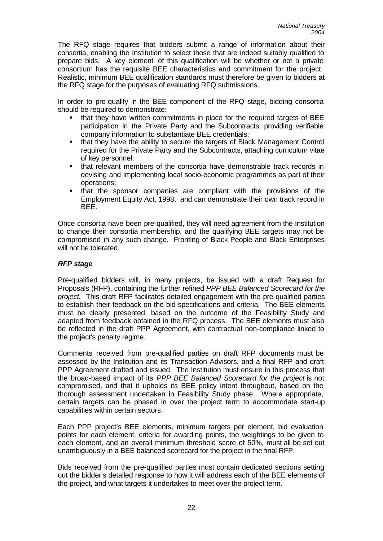The RFQ stage requires that bidders submit a range of information about their consortia, enabling the Institution to select those that are indeed suitably qualified to prepare bids. A key element of this qualification will be whether or not a private consortium has the requisite BEE characteristics and commitment for the project. Realistic, minimum BEE qualification standards must therefore be given to bidders at the RFQ stage for the purposes of evaluating RFQ submissions.

In order to pre-qualify in the BEE component of the RFQ stage, bidding consortia should be required to demonstrate:

- that they have written commitments in place for the required targets of BEE participation in the Private Party and the Subcontracts, providing verifiable company information to substantiate BEE credentials;
- that they have the ability to secure the targets of Black Management Control required for the Private Party and the Subcontracts, attaching curriculum vitae of key personnel;
- that relevant members of the consortia have demonstrable track records in devising and implementing local socio-economic programmes as part of their operations;
- ß that the sponsor companies are compliant with the provisions of the Employment Equity Act, 1998, and can demonstrate their own track record in BEE.

Once consortia have been pre-qualified, they will need agreement from the Institution to change their consortia membership, and the qualifying BEE targets may not be compromised in any such change. Fronting of Black People and Black Enterprises will not be tolerated.

### *RFP stage*

Pre-qualified bidders will, in many projects, be issued with a draft Request for Proposals (RFP), containing the further refined *PPP BEE Balanced Scorecard for the project.* This draft RFP facilitates detailed engagement with the pre-qualified parties to establish their feedback on the bid specifications and criteria. The BEE elements must be clearly presented, based on the outcome of the Feasibility Study and adapted from feedback obtained in the RFQ process. The BEE elements must also be reflected in the draft PPP Agreement, with contractual non-compliance linked to the project's penalty regime.

Comments received from pre-qualified parties on draft RFP documents must be assessed by the Institution and its Transaction Advisors, and a final RFP and draft PPP Agreement drafted and issued. The Institution must ensure in this process that the broad-based impact of its *PPP BEE Balanced Scorecard for the project* is not compromised, and that it upholds its BEE policy intent throughout, based on the thorough assessment undertaken in Feasibility Study phase. Where appropriate, certain targets can be phased in over the project term to accommodate start-up capabilities within certain sectors.

Each PPP project's BEE elements, minimum targets per element, bid evaluation points for each element, criteria for awarding points, the weightings to be given to each element, and an overall minimum threshold score of 50%, must all be set out unambiguously in a BEE balanced scorecard for the project in the final RFP.

Bids received from the pre-qualified parties must contain dedicated sections setting out the bidder's detailed response to how it will address each of the BEE elements of the project, and what targets it undertakes to meet over the project term.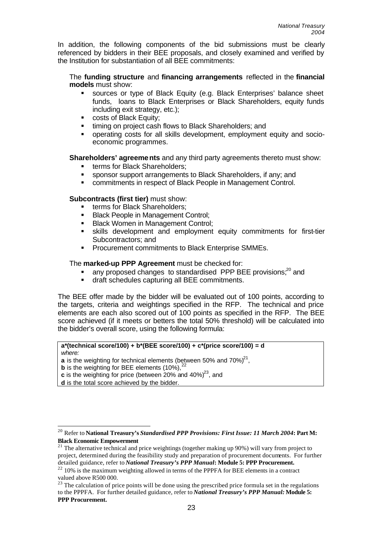In addition, the following components of the bid submissions must be clearly referenced by bidders in their BEE proposals, and closely examined and verified by the Institution for substantiation of all BEE commitments:

The **funding structure** and **financing arrangements** reflected in the **financial models** must show:

- ß sources or type of Black Equity (e.g. Black Enterprises' balance sheet funds, loans to Black Enterprises or Black Shareholders, equity funds including exit strategy, etc.);
- ß costs of Black Equity;
- **EXECT:** timing on project cash flows to Black Shareholders; and
- ß operating costs for all skills development, employment equity and socioeconomic programmes.

### **Shareholders' agreements** and any third party agreements thereto must show:

- terms for Black Shareholders:
- **SPONSOR SUPPORT ARRANGEMENTS IS SHARE SHAREHOLDERS.** If any; and
- **EXECT** commitments in respect of Black People in Management Control.

### **Subcontracts (first tier)** must show:

- **Example 1** terms for Black Shareholders;
- ß Black People in Management Control;
- **Black Women in Management Control:**
- ß skills development and employment equity commitments for first-tier Subcontractors; and
- **Procurement commitments to Black Enterprise SMMEs.**

#### The **marked-up PPP Agreement** must be checked for:

- any proposed changes to standardised PPP BEE provisions;<sup>20</sup> and
- **If** draft schedules capturing all BEE commitments.

The BEE offer made by the bidder will be evaluated out of 100 points, according to the targets, criteria and weightings specified in the RFP. The technical and price elements are each also scored out of 100 points as specified in the RFP. The BEE score achieved (if it meets or betters the total 50% threshold) will be calculated into the bidder's overall score, using the following formula:

# **a\*(technical score/100) + b\*(BEE score/100) + c\*(price score/100) = d**  *where:*

**a** is the weighting for technical elements (between 50% and 70%) $^{21}$ ,

**b** is the weighting for BEE elements (10%),

**c** is the weighting for price (between 20% and 40%)<sup>23</sup>, and

**d** is the total score achieved by the bidder.

j <sup>20</sup> Refer to **National Treasury's** *Standardised PPP Provisions: First Issue: 11 March 2004***: Part M: Black Economic Empowerment**

<sup>&</sup>lt;sup>21</sup> The alternative technical and price weightings (together making up 90%) will vary from project to project, determined during the feasibility study and preparation of procurement documents. For further detailed guidance, refer to *National Treasury's PPP Manual***: Module 5: PPP Procurement.**

 $22$  10% is the maximum weighting allowed in terms of the PPPFA for BEE elements in a contract valued above R500 000.

<sup>&</sup>lt;sup>23</sup> The calculation of price points will be done using the prescribed price formula set in the regulations to the PPPFA. For further detailed guidance, refer to *National Treasury's PPP Manual:* **Module 5: PPP Procurement.**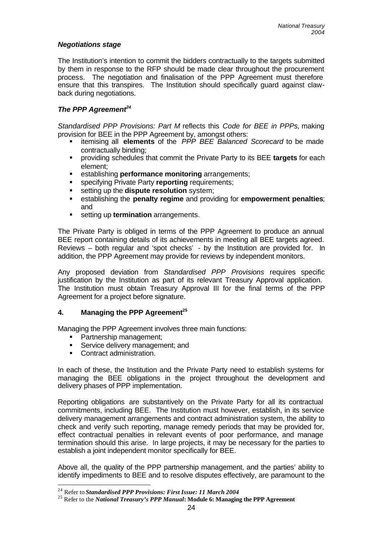### *Negotiations stage*

The Institution's intention to commit the bidders contractually to the targets submitted by them in response to the RFP should be made clear throughout the procurement process. The negotiation and finalisation of the PPP Agreement must therefore ensure that this transpires. The Institution should specifically guard against clawback during negotiations.

#### *The PPP Agreement<sup>24</sup>*

*Standardised PPP Provisions: Part M* reflects this *Code for BEE in PPPs,* making provision for BEE in the PPP Agreement by, amongst others:

- ß itemising all **elements** of the *PPP BEE Balanced Scorecard* to be made contractually binding;
- **EXED FEE FARKS INTERT FIRTH PROVIDED SCHEDUIOS providing schedules** that commit the Private Party to its BEE **targets** for each element;
- **EXECTE ESTABLISHING <b>performance monitoring** arrangements;
- ß specifying Private Party **reporting** requirements;
- **setting up the dispute resolution** system;
- ß establishing the **penalty regime** and providing for **empowerment penalties**; and
- ß setting up **termination** arrangements.

The Private Party is obliged in terms of the PPP Agreement to produce an annual BEE report containing details of its achievements in meeting all BEE targets agreed. Reviews – both regular and 'spot checks' - by the Institution are provided for. In addition, the PPP Agreement may provide for reviews by independent monitors.

Any proposed deviation from *Standardised PPP Provisions* requires specific justification by the Institution as part of its relevant Treasury Approval application. The Institution must obtain Treasury Approval III for the final terms of the PPP Agreement for a project before signature.

#### **4. Managing the PPP Agreement<sup>25</sup>**

Managing the PPP Agreement involves three main functions:

- Partnership management;
- **Service delivery management; and**
- Contract administration.

l

In each of these, the Institution and the Private Party need to establish systems for managing the BEE obligations in the project throughout the development and delivery phases of PPP implementation.

Reporting obligations are substantively on the Private Party for all its contractual commitments, including BEE. The Institution must however, establish, in its service delivery management arrangements and contract administration system, the ability to check and verify such reporting, manage remedy periods that may be provided for, effect contractual penalties in relevant events of poor performance, and manage termination should this arise. In large projects, it may be necessary for the parties to establish a joint independent monitor specifically for BEE.

Above all, the quality of the PPP partnership management, and the parties' ability to identify impediments to BEE and to resolve disputes effectively, are paramount to the

<sup>24</sup> Refer to *Standardised PPP Provisions: First Issue: 11 March 2004*

<sup>25</sup> Refer to the *National Treasury's PPP Manual***: Module 6: Managing the PPP Agreement**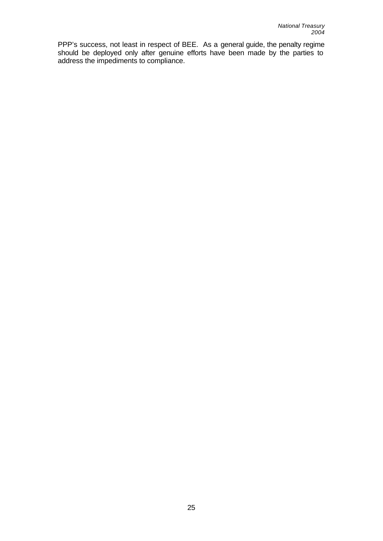PPP's success, not least in respect of BEE. As a general guide, the penalty regime should be deployed only after genuine efforts have been made by the parties to address the impediments to compliance.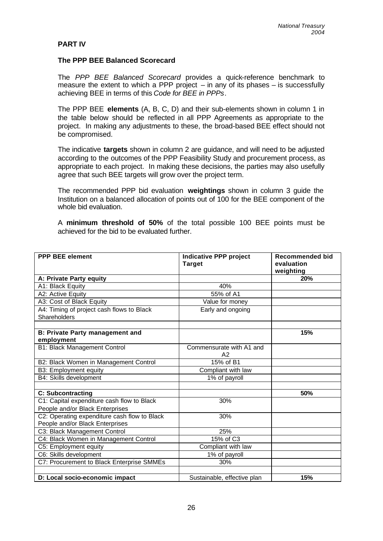#### **PART IV**

#### **The PPP BEE Balanced Scorecard**

The *PPP BEE Balanced Scorecard* provides a quick-reference benchmark to measure the extent to which a PPP project  $-$  in any of its phases  $-$  is successfully achieving BEE in terms of this *Code for BEE in PPPs*.

The PPP BEE **elements** (A, B, C, D) and their sub-elements shown in column 1 in the table below should be reflected in all PPP Agreements as appropriate to the project. In making any adjustments to these, the broad-based BEE effect should not be compromised.

The indicative **targets** shown in column 2 are guidance, and will need to be adjusted according to the outcomes of the PPP Feasibility Study and procurement process, as appropriate to each project. In making these decisions, the parties may also usefully agree that such BEE targets will grow over the project term.

The recommended PPP bid evaluation **weightings** shown in column 3 guide the Institution on a balanced allocation of points out of 100 for the BEE component of the whole bid evaluation.

A **minimum threshold of 50%** of the total possible 100 BEE points must be achieved for the bid to be evaluated further.

| <b>PPP BEE element</b>                       | <b>Indicative PPP project</b> | <b>Recommended bid</b> |
|----------------------------------------------|-------------------------------|------------------------|
|                                              | <b>Target</b>                 | evaluation             |
|                                              |                               | weighting              |
| A: Private Party equity                      |                               | 20%                    |
| A1: Black Equity                             | 40%                           |                        |
| A2: Active Equity                            | 55% of A1                     |                        |
| A3: Cost of Black Equity                     | Value for money               |                        |
| A4: Timing of project cash flows to Black    | Early and ongoing             |                        |
| Shareholders                                 |                               |                        |
|                                              |                               |                        |
| <b>B: Private Party management and</b>       |                               | 15%                    |
| employment                                   |                               |                        |
| <b>B1: Black Management Control</b>          | Commensurate with A1 and      |                        |
|                                              | A2                            |                        |
| B2: Black Women in Management Control        | 15% of B1                     |                        |
| B3: Employment equity                        | Compliant with law            |                        |
| B4: Skills development                       | 1% of payroll                 |                        |
|                                              |                               |                        |
| C: Subcontracting                            |                               | 50%                    |
| C1: Capital expenditure cash flow to Black   | 30%                           |                        |
| People and/or Black Enterprises              |                               |                        |
| C2: Operating expenditure cash flow to Black | 30%                           |                        |
| People and/or Black Enterprises              |                               |                        |
| C3: Black Management Control                 | 25%                           |                        |
| C4: Black Women in Management Control        | 15% of C3                     |                        |
| C5: Employment equity                        | Compliant with law            |                        |
| C6: Skills development                       | 1% of payroll                 |                        |
| C7: Procurement to Black Enterprise SMMEs    | 30%                           |                        |
|                                              |                               |                        |
| D: Local socio-economic impact               | Sustainable, effective plan   | 15%                    |